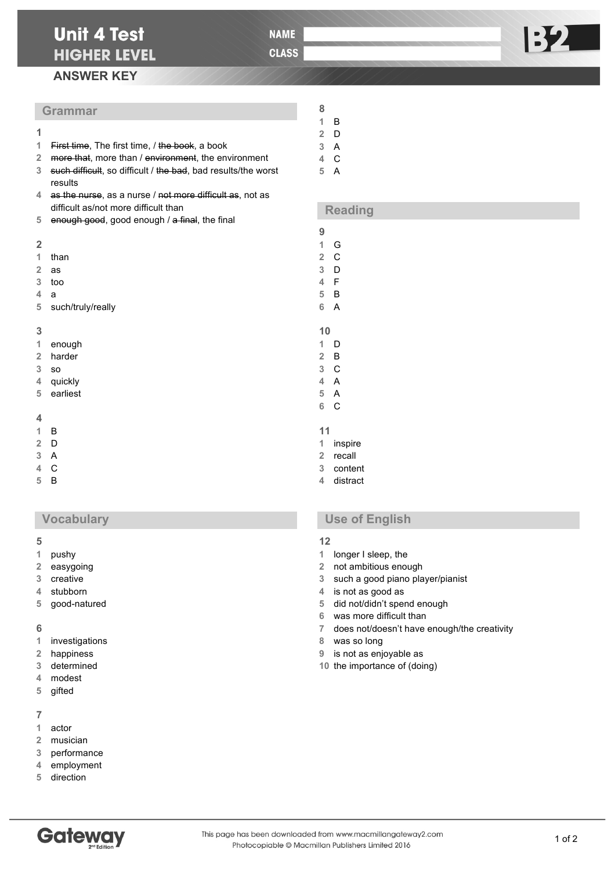**NAME** 

**CLASS** 

## **ANSWER KEY**

## **Grammar**

- First time, The first time, / the book, a book
- more that, more than / environment, the environment
- such difficult, so difficult / the bad, bad results/the worst results
- as the nurse, as a nurse / not more difficult as, not as difficult as/not more difficult than
- enough good, good enough / a final, the final

#### 

- than
- as
- too
- a
- such/truly/really

### 

| enough |  |
|--------|--|
|--------|--|

- harder
- so
- quickly
- earliest

#### 

- B
- D
- A
- C
- B

## **Vocabulary**

#### 

- pushy
- easygoing
- creative
- stubborn
- good-natured

### 

- investigations
- happiness
- determined
- modest
- gifted

#### 

- actor
- musician
- performance
- employment
- direction



#### of 2

# **Use of English**

# 

- longer I sleep, the
- not ambitious enough
- such a good piano player/pianist
- is not as good as
- did not/didn't spend enough
- was more difficult than
- does not/doesn't have enough/the creativity
- was so long
- is not as enjoyable as
- the importance of (doing)

**B2** 

A

**Reading**

 B D A C

 G C D F B A

 D B C A A C

 inspire recall content distract